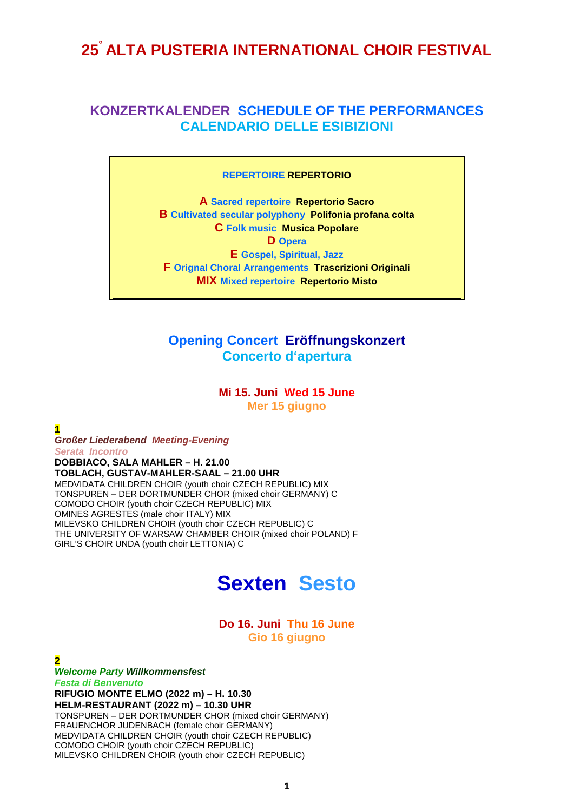## **25° ALTA PUSTERIA INTERNATIONAL CHOIR FESTIVAL**

## **KONZERTKALENDER SCHEDULE OF THE PERFORMANCES CALENDARIO DELLE ESIBIZIONI**

#### **REPERTOIRE REPERTORIO**

**A Sacred repertoire Repertorio Sacro B Cultivated secular polyphony Polifonia profana colta C Folk music Musica Popolare D Opera E Gospel, Spiritual, Jazz F Orignal Choral Arrangements Trascrizioni Originali MIX Mixed repertoire Repertorio Misto**

## **Opening Concert Eröffnungskonzert Concerto d'apertura**

**Mi 15. Juni Wed 15 June Mer 15 giugno**

*Großer Liederabend Meeting-Evening Serata Incontro* **DOBBIACO, SALA MAHLER – H. 21.00 TOBLACH, GUSTAV-MAHLER-SAAL – 21.00 UHR** MEDVIDATA CHILDREN CHOIR (youth choir CZECH REPUBLIC) MIX TONSPUREN – DER DORTMUNDER CHOR (mixed choir GERMANY) C COMODO CHOIR (youth choir CZECH REPUBLIC) MIX OMINES AGRESTES (male choir ITALY) MIX MILEVSKO CHILDREN CHOIR (youth choir CZECH REPUBLIC) C THE UNIVERSITY OF WARSAW CHAMBER CHOIR (mixed choir POLAND) F GIRL'S CHOIR UNDA (youth choir LETTONIA) C

**1**

## **Sexten Sesto**

### **Do 16. Juni Thu 16 June Gio 16 giugno**

**2** *Welcome Party Willkommensfest Festa di Benvenuto* **RIFUGIO MONTE ELMO (2022 m) – H. 10.30 HELM-RESTAURANT (2022 m) – 10.30 UHR** TONSPUREN – DER DORTMUNDER CHOR (mixed choir GERMANY) FRAUENCHOR JUDENBACH (female choir GERMANY) MEDVIDATA CHILDREN CHOIR (youth choir CZECH REPUBLIC) COMODO CHOIR (youth choir CZECH REPUBLIC) MILEVSKO CHILDREN CHOIR (youth choir CZECH REPUBLIC)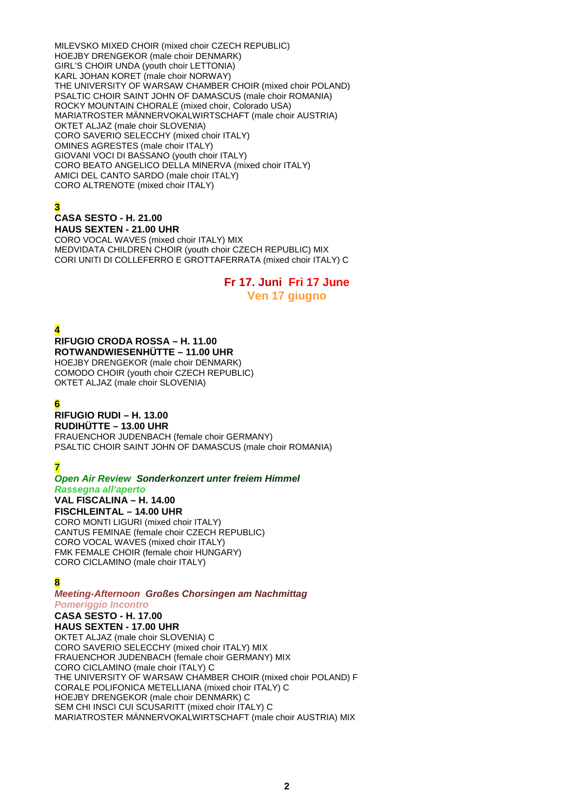MILEVSKO MIXED CHOIR (mixed choir CZECH REPUBLIC) HOEJBY DRENGEKOR (male choir DENMARK) GIRL'S CHOIR UNDA (youth choir LETTONIA) KARL JOHAN KORET (male choir NORWAY) THE UNIVERSITY OF WARSAW CHAMBER CHOIR (mixed choir POLAND) PSALTIC CHOIR SAINT JOHN OF DAMASCUS (male choir ROMANIA) ROCKY MOUNTAIN CHORALE (mixed choir, Colorado USA) MARIATROSTER MÄNNERVOKALWIRTSCHAFT (male choir AUSTRIA) OKTET ALJAZ (male choir SLOVENIA) CORO SAVERIO SELECCHY (mixed choir ITALY) OMINES AGRESTES (male choir ITALY) GIOVANI VOCI DI BASSANO (youth choir ITALY) CORO BEATO ANGELICO DELLA MINERVA (mixed choir ITALY) AMICI DEL CANTO SARDO (male choir ITALY) CORO ALTRENOTE (mixed choir ITALY)

## **3**

## **CASA SESTO - H. 21.00**

**HAUS SEXTEN - 21.00 UHR** CORO VOCAL WAVES (mixed choir ITALY) MIX MEDVIDATA CHILDREN CHOIR (youth choir CZECH REPUBLIC) MIX CORI UNITI DI COLLEFERRO E GROTTAFERRATA (mixed choir ITALY) C

## **Fr 17. Juni Fri 17 June Ven 17 giugno**

**4**

#### **RIFUGIO CRODA ROSSA – H. 11.00 ROTWANDWIESENHÜTTE – 11.00 UHR**

HOEJBY DRENGEKOR (male choir DENMARK) COMODO CHOIR (youth choir CZECH REPUBLIC) OKTET ALJAZ (male choir SLOVENIA)

## **6**

## **RIFUGIO RUDI – H. 13.00**

**RUDIHÜTTE – 13.00 UHR** FRAUENCHOR JUDENBACH (female choir GERMANY) PSALTIC CHOIR SAINT JOHN OF DAMASCUS (male choir ROMANIA)

## **7**

#### *Open Air Review Sonderkonzert unter freiem Himmel Rassegna all'aperto*

**VAL FISCALINA – H. 14.00 FISCHLEINTAL – 14.00 UHR**

CORO MONTI LIGURI (mixed choir ITALY) CANTUS FEMINAE (female choir CZECH REPUBLIC) CORO VOCAL WAVES (mixed choir ITALY) FMK FEMALE CHOIR (female choir HUNGARY) CORO CICLAMINO (male choir ITALY)

### **8**

#### *Meeting-Afternoon Großes Chorsingen am Nachmittag Pomeriggio Incontro*

## **CASA SESTO - H. 17.00**

**HAUS SEXTEN - 17.00 UHR** OKTET ALJAZ (male choir SLOVENIA) C CORO SAVERIO SELECCHY (mixed choir ITALY) MIX FRAUENCHOR JUDENBACH (female choir GERMANY) MIX CORO CICLAMINO (male choir ITALY) C THE UNIVERSITY OF WARSAW CHAMBER CHOIR (mixed choir POLAND) F CORALE POLIFONICA METELLIANA (mixed choir ITALY) C HOEJBY DRENGEKOR (male choir DENMARK) C SEM CHI INSCI CUI SCUSARITT (mixed choir ITALY) C MARIATROSTER MÄNNERVOKALWIRTSCHAFT (male choir AUSTRIA) MIX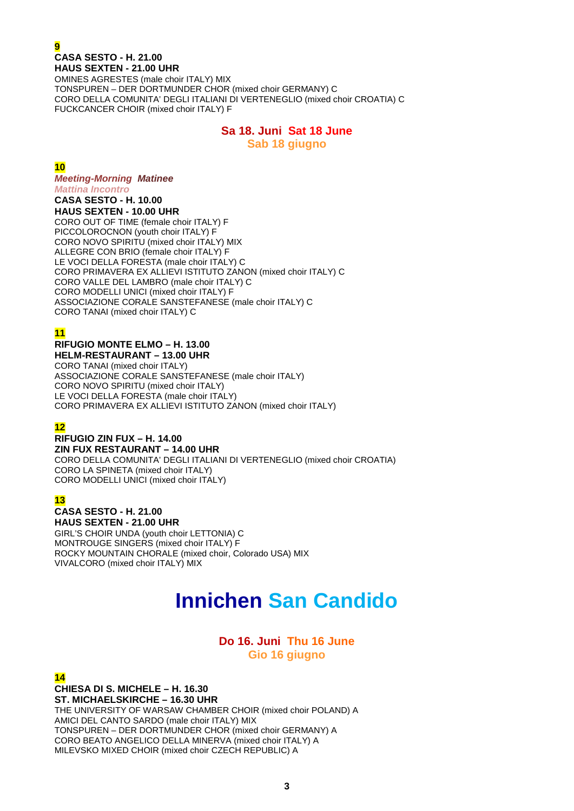### **9 CASA SESTO - H. 21.00 HAUS SEXTEN - 21.00 UHR**

OMINES AGRESTES (male choir ITALY) MIX TONSPUREN – DER DORTMUNDER CHOR (mixed choir GERMANY) C CORO DELLA COMUNITA' DEGLI ITALIANI DI VERTENEGLIO (mixed choir CROATIA) C FUCKCANCER CHOIR (mixed choir ITALY) F

## **Sa 18. Juni Sat 18 June Sab 18 giugno**

#### **10**

*Meeting-Morning Matinee Mattina Incontro*

**CASA SESTO - H. 10.00 HAUS SEXTEN - 10.00 UHR**

CORO OUT OF TIME (female choir ITALY) F PICCOLOROCNON (youth choir ITALY) F CORO NOVO SPIRITU (mixed choir ITALY) MIX ALLEGRE CON BRIO (female choir ITALY) F LE VOCI DELLA FORESTA (male choir ITALY) C CORO PRIMAVERA EX ALLIEVI ISTITUTO ZANON (mixed choir ITALY) C CORO VALLE DEL LAMBRO (male choir ITALY) C CORO MODELLI UNICI (mixed choir ITALY) F ASSOCIAZIONE CORALE SANSTEFANESE (male choir ITALY) C CORO TANAI (mixed choir ITALY) C

## **11**

#### **RIFUGIO MONTE ELMO – H. 13.00 HELM-RESTAURANT – 13.00 UHR**

CORO TANAI (mixed choir ITALY) ASSOCIAZIONE CORALE SANSTEFANESE (male choir ITALY) CORO NOVO SPIRITU (mixed choir ITALY) LE VOCI DELLA FORESTA (male choir ITALY) CORO PRIMAVERA EX ALLIEVI ISTITUTO ZANON (mixed choir ITALY)

## **12**

#### **RIFUGIO ZIN FUX – H. 14.00 ZIN FUX RESTAURANT – 14.00 UHR**

CORO DELLA COMUNITA' DEGLI ITALIANI DI VERTENEGLIO (mixed choir CROATIA) CORO LA SPINETA (mixed choir ITALY) CORO MODELLI UNICI (mixed choir ITALY)

## **13**

## **CASA SESTO - H. 21.00**

**HAUS SEXTEN - 21.00 UHR** GIRL'S CHOIR UNDA (youth choir LETTONIA) C MONTROUGE SINGERS (mixed choir ITALY) F ROCKY MOUNTAIN CHORALE (mixed choir, Colorado USA) MIX VIVALCORO (mixed choir ITALY) MIX

# **Innichen San Candido**

## **Do 16. Juni Thu 16 June Gio 16 giugno**

**14**

**CHIESA DI S. MICHELE – H. 16.30 ST. MICHAELSKIRCHE – 16.30 UHR** THE UNIVERSITY OF WARSAW CHAMBER CHOIR (mixed choir POLAND) A AMICI DEL CANTO SARDO (male choir ITALY) MIX TONSPUREN – DER DORTMUNDER CHOR (mixed choir GERMANY) A CORO BEATO ANGELICO DELLA MINERVA (mixed choir ITALY) A MILEVSKO MIXED CHOIR (mixed choir CZECH REPUBLIC) A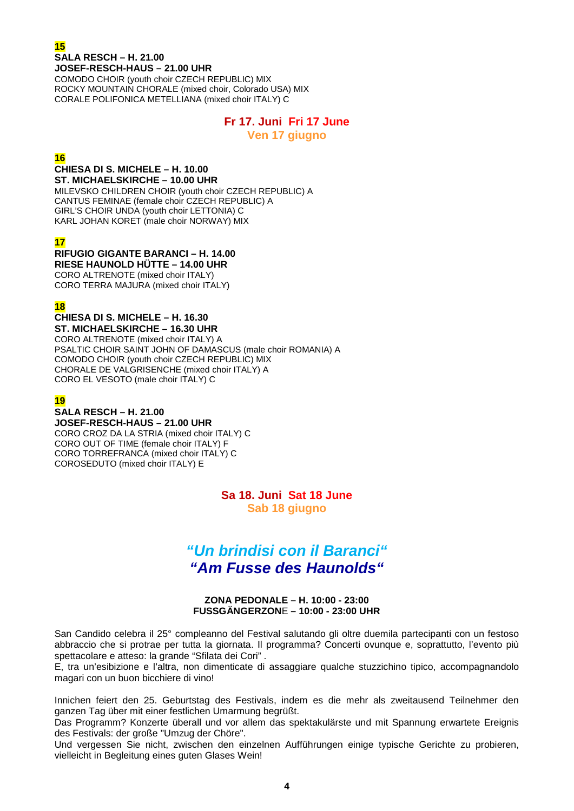## **15 SALA RESCH – H. 21.00 JOSEF-RESCH-HAUS – 21.00 UHR**

COMODO CHOIR (youth choir CZECH REPUBLIC) MIX ROCKY MOUNTAIN CHORALE (mixed choir, Colorado USA) MIX CORALE POLIFONICA METELLIANA (mixed choir ITALY) C

## **Fr 17. Juni Fri 17 June**

**Ven 17 giugno**

## **16**

#### **CHIESA DI S. MICHELE – H. 10.00 ST. MICHAELSKIRCHE – 10.00 UHR**

MILEVSKO CHILDREN CHOIR (youth choir CZECH REPUBLIC) A CANTUS FEMINAE (female choir CZECH REPUBLIC) A GIRL'S CHOIR UNDA (youth choir LETTONIA) C KARL JOHAN KORET (male choir NORWAY) MIX

## **17**

#### **RIFUGIO GIGANTE BARANCI – H. 14.00 RIESE HAUNOLD HÜTTE – 14.00 UHR**

CORO ALTRENOTE (mixed choir ITALY) CORO TERRA MAJURA (mixed choir ITALY)

## **18**

#### **CHIESA DI S. MICHELE – H. 16.30 ST. MICHAELSKIRCHE – 16.30 UHR** CORO ALTRENOTE (mixed choir ITALY) A PSALTIC CHOIR SAINT JOHN OF DAMASCUS (male choir ROMANIA) A COMODO CHOIR (youth choir CZECH REPUBLIC) MIX CHORALE DE VALGRISENCHE (mixed choir ITALY) A CORO EL VESOTO (male choir ITALY) C

## **19**

## **SALA RESCH – H. 21.00**

**JOSEF-RESCH-HAUS – 21.00 UHR** CORO CROZ DA LA STRIA (mixed choir ITALY) C CORO OUT OF TIME (female choir ITALY) F CORO TORREFRANCA (mixed choir ITALY) C COROSEDUTO (mixed choir ITALY) E

> **Sa 18. Juni Sat 18 June Sab 18 giugno**

## *"Un brindisi con il Baranci" "Am Fusse des Haunolds"*

#### **ZONA PEDONALE – H. 10:00 - 23:00 FUSSGÄNGERZON**E **– 10:00 - 23:00 UHR**

San Candido celebra il 25° compleanno del Festival salutando gli oltre duemila partecipanti con un festoso abbraccio che si protrae per tutta la giornata. Il programma? Concerti ovunque e, soprattutto, l'evento più spettacolare e atteso: la grande "Sfilata dei Cori" .

E, tra un'esibizione e l'altra, non dimenticate di assaggiare qualche stuzzichino tipico, accompagnandolo magari con un buon bicchiere di vino!

Innichen feiert den 25. Geburtstag des Festivals, indem es die mehr als zweitausend Teilnehmer den ganzen Tag über mit einer festlichen Umarmung begrüßt.

Das Programm? Konzerte überall und vor allem das spektakulärste und mit Spannung erwartete Ereignis des Festivals: der große "Umzug der Chöre".

Und vergessen Sie nicht, zwischen den einzelnen Aufführungen einige typische Gerichte zu probieren, vielleicht in Begleitung eines guten Glases Wein!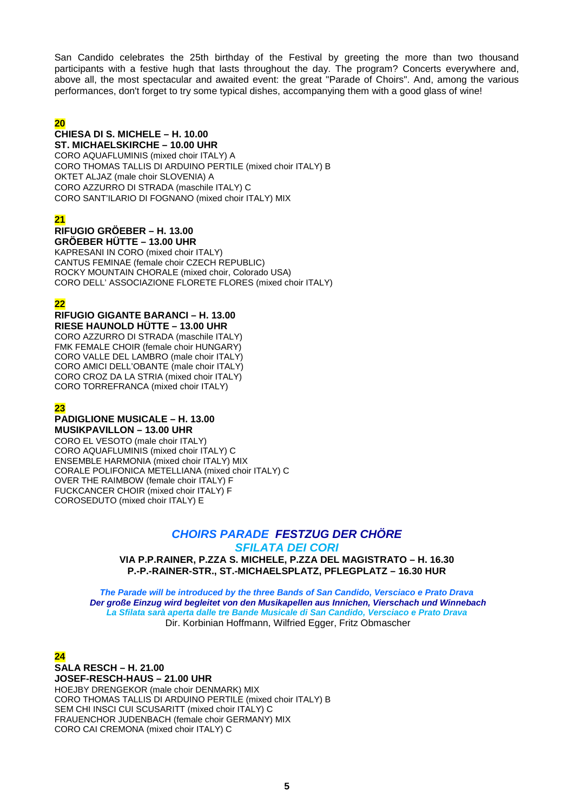San Candido celebrates the 25th birthday of the Festival by greeting the more than two thousand participants with a festive hugh that lasts throughout the day. The program? Concerts everywhere and, above all, the most spectacular and awaited event: the great "Parade of Choirs". And, among the various performances, don't forget to try some typical dishes, accompanying them with a good glass of wine!

### **20**

#### **CHIESA DI S. MICHELE – H. 10.00 ST. MICHAELSKIRCHE – 10.00 UHR**

CORO AQUAFLUMINIS (mixed choir ITALY) A CORO THOMAS TALLIS DI ARDUINO PERTILE (mixed choir ITALY) B OKTET ALJAZ (male choir SLOVENIA) A CORO AZZURRO DI STRADA (maschile ITALY) C CORO SANT'ILARIO DI FOGNANO (mixed choir ITALY) MIX

### **21**

#### **RIFUGIO GRӦEBER – H. 13.00 GRӦEBER HÜTTE – 13.00 UHR**

KAPRESANI IN CORO (mixed choir ITALY) CANTUS FEMINAE (female choir CZECH REPUBLIC) ROCKY MOUNTAIN CHORALE (mixed choir, Colorado USA) CORO DELL' ASSOCIAZIONE FLORETE FLORES (mixed choir ITALY)

## **22**

#### **RIFUGIO GIGANTE BARANCI – H. 13.00 RIESE HAUNOLD HÜTTE – 13.00 UHR**

CORO AZZURRO DI STRADA (maschile ITALY) FMK FEMALE CHOIR (female choir HUNGARY) CORO VALLE DEL LAMBRO (male choir ITALY) CORO AMICI DELL'OBANTE (male choir ITALY) CORO CROZ DA LA STRIA (mixed choir ITALY) CORO TORREFRANCA (mixed choir ITALY)

## **23**

#### **PADIGLIONE MUSICALE – H. 13.00 MUSIKPAVILLON – 13.00 UHR**

CORO EL VESOTO (male choir ITALY) CORO AQUAFLUMINIS (mixed choir ITALY) C ENSEMBLE HARMONIA (mixed choir ITALY) MIX CORALE POLIFONICA METELLIANA (mixed choir ITALY) C OVER THE RAIMBOW (female choir ITALY) F FUCKCANCER CHOIR (mixed choir ITALY) F COROSEDUTO (mixed choir ITALY) E

## *CHOIRS PARADE FESTZUG DER CHÖRE*

*SFILATA DEI CORI*

**VIA P.P.RAINER, P.ZZA S. MICHELE, P.ZZA DEL MAGISTRATO – H. 16.30 P.-P.-RAINER-STR., ST.-MICHAELSPLATZ, PFLEGPLATZ – 16.30 HUR**

*The Parade will be introduced by the three Bands of San Candido, Versciaco e Prato Drava Der große Einzug wird begleitet von den Musikapellen aus Innichen, Vierschach und Winnebach La Sfilata sarà aperta dalle tre Bande Musicale di San Candido, Versciaco e Prato Drava* Dir. Korbinian Hoffmann, Wilfried Egger, Fritz Obmascher

### **24**

#### **SALA RESCH – H. 21.00 JOSEF-RESCH-HAUS – 21.00 UHR** HOEJBY DRENGEKOR (male choir DENMARK) MIX CORO THOMAS TALLIS DI ARDUINO PERTILE (mixed choir ITALY) B SEM CHI INSCI CUI SCUSARITT (mixed choir ITALY) C FRAUENCHOR JUDENBACH (female choir GERMANY) MIX CORO CAI CREMONA (mixed choir ITALY) C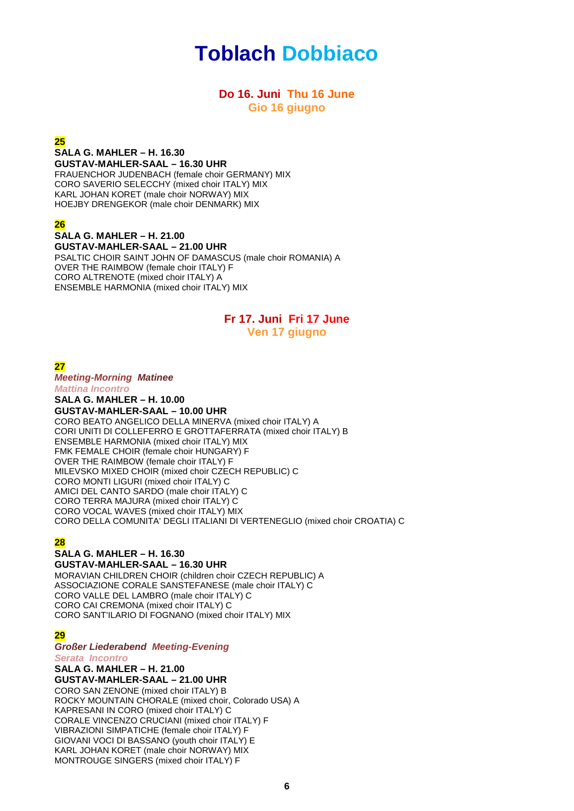# **Toblach Dobbiaco**

## **Do 16. Juni Thu 16 June Gio 16 giugno**

#### **25**

#### **SALA G. MAHLER – H. 16.30 GUSTAV-MAHLER-SAAL – 16.30 UHR**

FRAUENCHOR JUDENBACH (female choir GERMANY) MIX CORO SAVERIO SELECCHY (mixed choir ITALY) MIX KARL JOHAN KORET (male choir NORWAY) MIX HOEJBY DRENGEKOR (male choir DENMARK) MIX

### **26**

#### **SALA G. MAHLER – H. 21.00 GUSTAV-MAHLER-SAAL – 21.00 UHR** PSALTIC CHOIR SAINT JOHN OF DAMASCUS (male choir ROMANIA) A OVER THE RAIMBOW (female choir ITALY) F CORO ALTRENOTE (mixed choir ITALY) A ENSEMBLE HARMONIA (mixed choir ITALY) MIX

## **Fr 17. Juni Fri 17 June Ven 17 giugno**

**27**

*Meeting-Morning Matinee Mattina Incontro* **SALA G. MAHLER – H. 10.00 GUSTAV-MAHLER-SAAL – 10.00 UHR** CORO BEATO ANGELICO DELLA MINERVA (mixed choir ITALY) A CORI UNITI DI COLLEFERRO E GROTTAFERRATA (mixed choir ITALY) B ENSEMBLE HARMONIA (mixed choir ITALY) MIX FMK FEMALE CHOIR (female choir HUNGARY) F OVER THE RAIMBOW (female choir ITALY) F MILEVSKO MIXED CHOIR (mixed choir CZECH REPUBLIC) C CORO MONTI LIGURI (mixed choir ITALY) C AMICI DEL CANTO SARDO (male choir ITALY) C CORO TERRA MAJURA (mixed choir ITALY) C CORO VOCAL WAVES (mixed choir ITALY) MIX CORO DELLA COMUNITA' DEGLI ITALIANI DI VERTENEGLIO (mixed choir CROATIA) C

## **28**

## **SALA G. MAHLER – H. 16.30**

**GUSTAV-MAHLER-SAAL – 16.30 UHR** MORAVIAN CHILDREN CHOIR (children choir CZECH REPUBLIC) A ASSOCIAZIONE CORALE SANSTEFANESE (male choir ITALY) C CORO VALLE DEL LAMBRO (male choir ITALY) C CORO CAI CREMONA (mixed choir ITALY) C CORO SANT'ILARIO DI FOGNANO (mixed choir ITALY) MIX

### **29**

*Großer Liederabend Meeting-Evening Serata Incontro*

#### **SALA G. MAHLER – H. 21.00 GUSTAV-MAHLER-SAAL – 21.00 UHR** CORO SAN ZENONE (mixed choir ITALY) B ROCKY MOUNTAIN CHORALE (mixed choir, Colorado USA) A KAPRESANI IN CORO (mixed choir ITALY) C CORALE VINCENZO CRUCIANI (mixed choir ITALY) F VIBRAZIONI SIMPATICHE (female choir ITALY) F GIOVANI VOCI DI BASSANO (youth choir ITALY) E KARL JOHAN KORET (male choir NORWAY) MIX

MONTROUGE SINGERS (mixed choir ITALY) F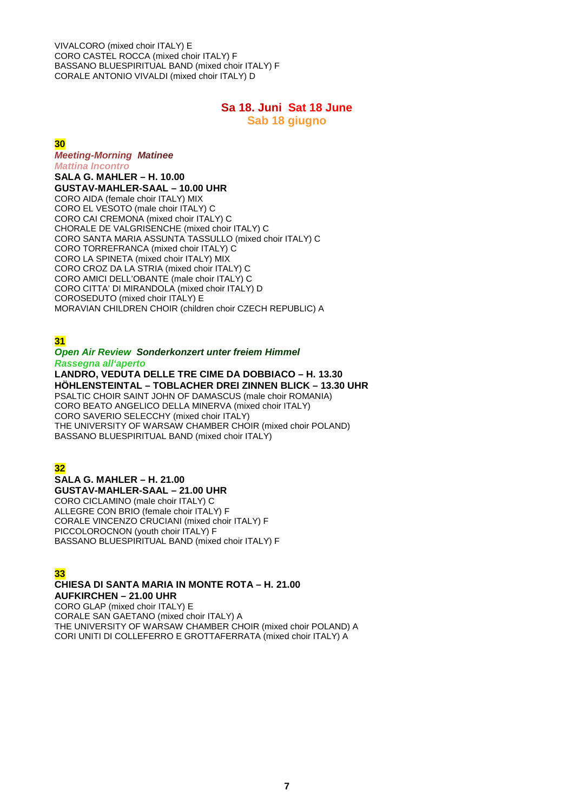VIVALCORO (mixed choir ITALY) E CORO CASTEL ROCCA (mixed choir ITALY) F BASSANO BLUESPIRITUAL BAND (mixed choir ITALY) F CORALE ANTONIO VIVALDI (mixed choir ITALY) D

## **Sa 18. Juni Sat 18 June**

**Sab 18 giugno**

### **30**

#### *Meeting-Morning Matinee*

*Mattina Incontro* **SALA G. MAHLER – H. 10.00 GUSTAV-MAHLER-SAAL – 10.00 UHR** CORO AIDA (female choir ITALY) MIX CORO EL VESOTO (male choir ITALY) C CORO CAI CREMONA (mixed choir ITALY) C CHORALE DE VALGRISENCHE (mixed choir ITALY) C CORO SANTA MARIA ASSUNTA TASSULLO (mixed choir ITALY) C CORO TORREFRANCA (mixed choir ITALY) C CORO LA SPINETA (mixed choir ITALY) MIX CORO CROZ DA LA STRIA (mixed choir ITALY) C CORO AMICI DELL'OBANTE (male choir ITALY) C CORO CITTA' DI MIRANDOLA (mixed choir ITALY) D COROSEDUTO (mixed choir ITALY) E MORAVIAN CHILDREN CHOIR (children choir CZECH REPUBLIC) A

## **31**

#### *Open Air Review Sonderkonzert unter freiem Himmel Rassegna all'aperto*

**LANDRO, VEDUTA DELLE TRE CIME DA DOBBIACO – H. 13.30 HÖHLENSTEINTAL – TOBLACHER DREI ZINNEN BLICK – 13.30 UHR** PSALTIC CHOIR SAINT JOHN OF DAMASCUS (male choir ROMANIA) CORO BEATO ANGELICO DELLA MINERVA (mixed choir ITALY) CORO SAVERIO SELECCHY (mixed choir ITALY) THE UNIVERSITY OF WARSAW CHAMBER CHOIR (mixed choir POLAND) BASSANO BLUESPIRITUAL BAND (mixed choir ITALY)

## **32**

#### **SALA G. MAHLER – H. 21.00 GUSTAV-MAHLER-SAAL – 21.00 UHR**

CORO CICLAMINO (male choir ITALY) C ALLEGRE CON BRIO (female choir ITALY) F CORALE VINCENZO CRUCIANI (mixed choir ITALY) F PICCOLOROCNON (youth choir ITALY) F BASSANO BLUESPIRITUAL BAND (mixed choir ITALY) F

## **33**

#### **CHIESA DI SANTA MARIA IN MONTE ROTA – H. 21.00 AUFKIRCHEN – 21.00 UHR**

CORO GLAP (mixed choir ITALY) E CORALE SAN GAETANO (mixed choir ITALY) A THE UNIVERSITY OF WARSAW CHAMBER CHOIR (mixed choir POLAND) A CORI UNITI DI COLLEFERRO E GROTTAFERRATA (mixed choir ITALY) A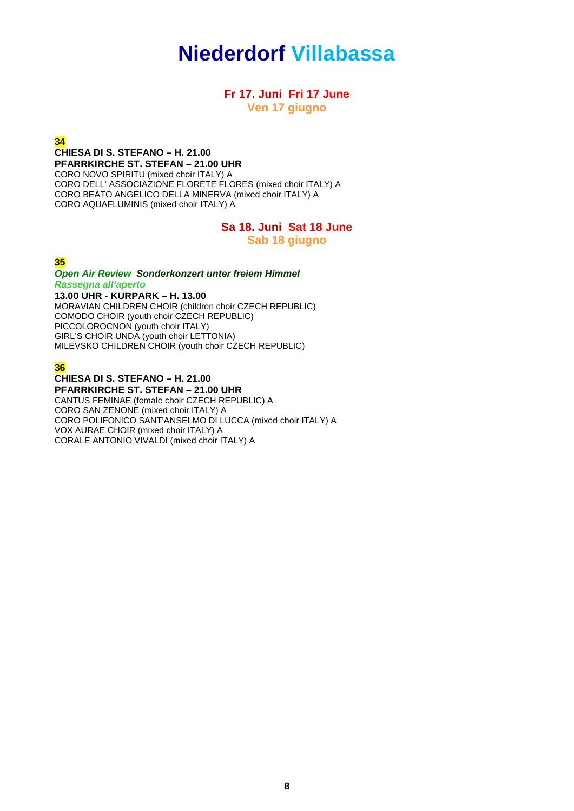# **Niederdorf Villabassa**

### **Fr 17. Juni Fri 17 June Ven 17 giugno**

#### **34**

**CHIESA DI S. STEFANO – H. 21.00 PFARRKIRCHE ST. STEFAN – 21.00 UHR** CORO NOVO SPIRITU (mixed choir ITALY) A CORO DELL' ASSOCIAZIONE FLORETE FLORES (mixed choir ITALY) A CORO BEATO ANGELICO DELLA MINERVA (mixed choir ITALY) A CORO AQUAFLUMINIS (mixed choir ITALY) A

# **Sa 18. Juni Sat 18 June**

**Sab 18 giugno**

#### **35**

#### *Open Air Review Sonderkonzert unter freiem Himmel Rassegna all'aperto*

**13.00 UHR - KURPARK – H. 13.00** MORAVIAN CHILDREN CHOIR (children choir CZECH REPUBLIC) COMODO CHOIR (youth choir CZECH REPUBLIC) PICCOLOROCNON (youth choir ITALY) GIRL'S CHOIR UNDA (youth choir LETTONIA) MILEVSKO CHILDREN CHOIR (youth choir CZECH REPUBLIC)

#### **36**

#### **CHIESA DI S. STEFANO – H. 21.00 PFARRKIRCHE ST. STEFAN – 21.00 UHR**

CANTUS FEMINAE (female choir CZECH REPUBLIC) A CORO SAN ZENONE (mixed choir ITALY) A CORO POLIFONICO SANT'ANSELMO DI LUCCA (mixed choir ITALY) A VOX AURAE CHOIR (mixed choir ITALY) A CORALE ANTONIO VIVALDI (mixed choir ITALY) A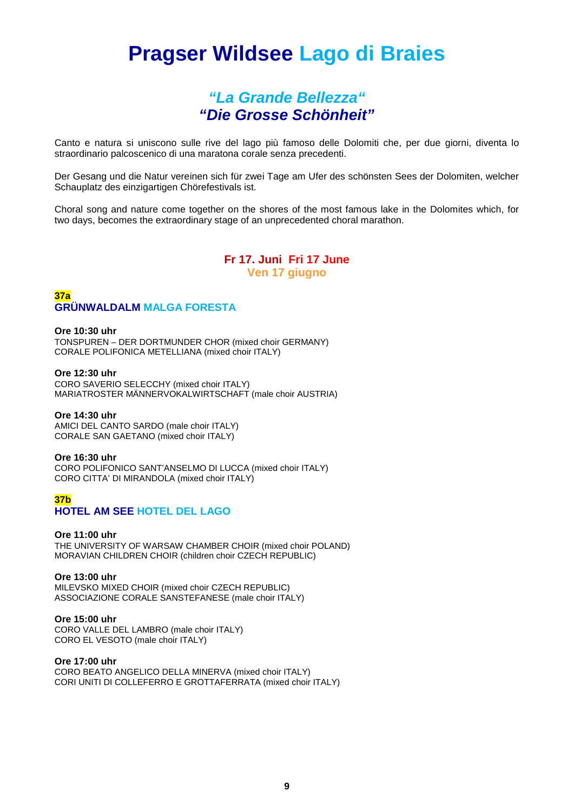# **Pragser Wildsee Lago di Braies**

## *"La Grande Bellezza" "Die Grosse Schönheit"*

Canto e natura si uniscono sulle rive del lago più famoso delle Dolomiti che, per due giorni, diventa lo straordinario palcoscenico di una maratona corale senza precedenti.

Der Gesang und die Natur vereinen sich für zwei Tage am Ufer des schönsten Sees der Dolomiten, welcher Schauplatz des einzigartigen Chörefestivals ist.

Choral song and nature come together on the shores of the most famous lake in the Dolomites which, for two days, becomes the extraordinary stage of an unprecedented choral marathon.

## **Fr 17. Juni Fri 17 June Ven 17 giugno**

#### **37a GRÜNWALDALM MALGA FORESTA**

#### **Ore 10:30 uhr**

TONSPUREN – DER DORTMUNDER CHOR (mixed choir GERMANY) CORALE POLIFONICA METELLIANA (mixed choir ITALY)

#### **Ore 12:30 uhr**

CORO SAVERIO SELECCHY (mixed choir ITALY) MARIATROSTER MÄNNERVOKALWIRTSCHAFT (male choir AUSTRIA)

#### **Ore 14:30 uhr**

AMICI DEL CANTO SARDO (male choir ITALY) CORALE SAN GAETANO (mixed choir ITALY)

#### **Ore 16:30 uhr**

CORO POLIFONICO SANT'ANSELMO DI LUCCA (mixed choir ITALY) CORO CITTA' DI MIRANDOLA (mixed choir ITALY)

#### **37b HOTEL AM SEE HOTEL DEL LAGO**

#### **Ore 11:00 uhr**

THE UNIVERSITY OF WARSAW CHAMBER CHOIR (mixed choir POLAND) MORAVIAN CHILDREN CHOIR (children choir CZECH REPUBLIC)

#### **Ore 13:00 uhr**

MILEVSKO MIXED CHOIR (mixed choir CZECH REPUBLIC) ASSOCIAZIONE CORALE SANSTEFANESE (male choir ITALY)

#### **Ore 15:00 uhr**

CORO VALLE DEL LAMBRO (male choir ITALY) CORO EL VESOTO (male choir ITALY)

#### **Ore 17:00 uhr**

CORO BEATO ANGELICO DELLA MINERVA (mixed choir ITALY) CORI UNITI DI COLLEFERRO E GROTTAFERRATA (mixed choir ITALY)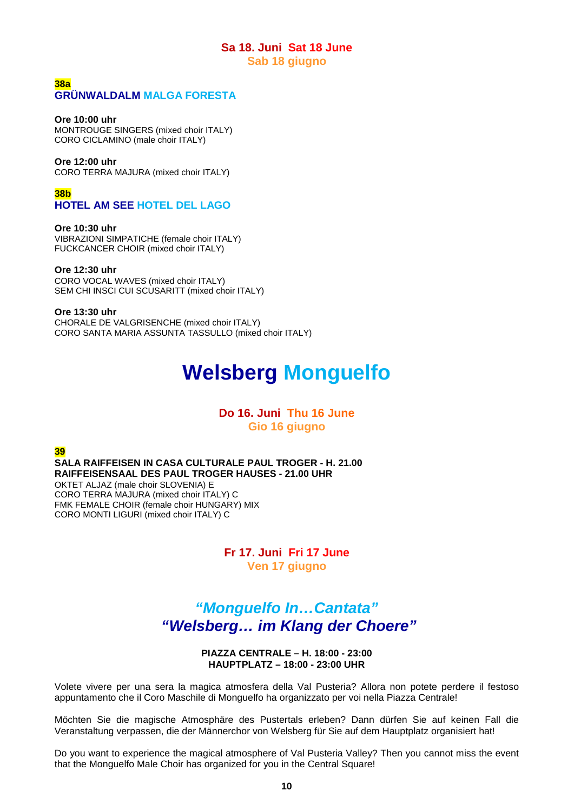#### **Sa 18. Juni Sat 18 June Sab 18 giugno**

#### **38a GRÜNWALDALM MALGA FORESTA**

#### **Ore 10:00 uhr**

MONTROUGE SINGERS (mixed choir ITALY) CORO CICLAMINO (male choir ITALY)

#### **Ore 12:00 uhr**

CORO TERRA MAJURA (mixed choir ITALY)

**38b**

## **HOTEL AM SEE HOTEL DEL LAGO**

#### **Ore 10:30 uhr**

VIBRAZIONI SIMPATICHE (female choir ITALY) FUCKCANCER CHOIR (mixed choir ITALY)

#### **Ore 12:30 uhr**

CORO VOCAL WAVES (mixed choir ITALY) SEM CHI INSCI CUI SCUSARITT (mixed choir ITALY)

**Ore 13:30 uhr** CHORALE DE VALGRISENCHE (mixed choir ITALY) CORO SANTA MARIA ASSUNTA TASSULLO (mixed choir ITALY)

# **Welsberg Monguelfo**

## **Do 16. Juni Thu 16 June Gio 16 giugno**

**39**

**SALA RAIFFEISEN IN CASA CULTURALE PAUL TROGER - H. 21.00 RAIFFEISENSAAL DES PAUL TROGER HAUSES - 21.00 UHR** OKTET ALJAZ (male choir SLOVENIA) E CORO TERRA MAJURA (mixed choir ITALY) C FMK FEMALE CHOIR (female choir HUNGARY) MIX CORO MONTI LIGURI (mixed choir ITALY) C

> **Fr 17. Juni Fri 17 June Ven 17 giugno**

## *"Monguelfo In…Cantata" "Welsberg… im Klang der Choere"*

**PIAZZA CENTRALE – H. 18:00 - 23:00 HAUPTPLATZ – 18:00 - 23:00 UHR**

Volete vivere per una sera la magica atmosfera della Val Pusteria? Allora non potete perdere il festoso appuntamento che il Coro Maschile di Monguelfo ha organizzato per voi nella Piazza Centrale!

Möchten Sie die magische Atmosphäre des Pustertals erleben? Dann dürfen Sie auf keinen Fall die Veranstaltung verpassen, die der Männerchor von Welsberg für Sie auf dem Hauptplatz organisiert hat!

Do you want to experience the magical atmosphere of Val Pusteria Valley? Then you cannot miss the event that the Monguelfo Male Choir has organized for you in the Central Square!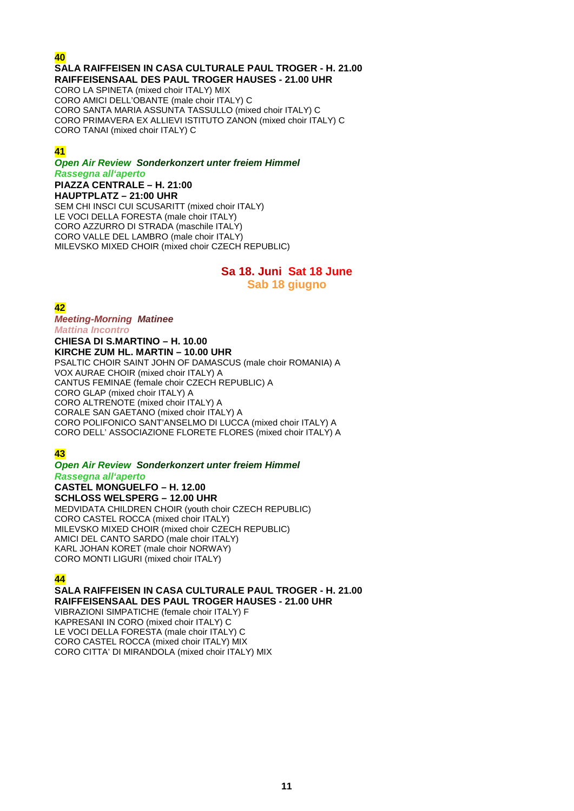#### **40**

## **SALA RAIFFEISEN IN CASA CULTURALE PAUL TROGER - H. 21.00 RAIFFEISENSAAL DES PAUL TROGER HAUSES - 21.00 UHR**

CORO LA SPINETA (mixed choir ITALY) MIX CORO AMICI DELL'OBANTE (male choir ITALY) C CORO SANTA MARIA ASSUNTA TASSULLO (mixed choir ITALY) C CORO PRIMAVERA EX ALLIEVI ISTITUTO ZANON (mixed choir ITALY) C CORO TANAI (mixed choir ITALY) C

### **41**

*Open Air Review Sonderkonzert unter freiem Himmel Rassegna all'aperto* **PIAZZA CENTRALE – H. 21:00**

**HAUPTPLATZ – 21:00 UHR** SEM CHI INSCI CUI SCUSARITT (mixed choir ITALY) LE VOCI DELLA FORESTA (male choir ITALY) CORO AZZURRO DI STRADA (maschile ITALY) CORO VALLE DEL LAMBRO (male choir ITALY) MILEVSKO MIXED CHOIR (mixed choir CZECH REPUBLIC)

# **Sa 18. Juni Sat 18 June**

**Sab 18 giugno**

**42**  *Meeting-Morning Matinee Mattina Incontro* **CHIESA DI S.MARTINO – H. 10.00 KIRCHE ZUM HL. MARTIN – 10.00 UHR**

PSALTIC CHOIR SAINT JOHN OF DAMASCUS (male choir ROMANIA) A VOX AURAE CHOIR (mixed choir ITALY) A CANTUS FEMINAE (female choir CZECH REPUBLIC) A CORO GLAP (mixed choir ITALY) A CORO ALTRENOTE (mixed choir ITALY) A CORALE SAN GAETANO (mixed choir ITALY) A CORO POLIFONICO SANT'ANSELMO DI LUCCA (mixed choir ITALY) A CORO DELL' ASSOCIAZIONE FLORETE FLORES (mixed choir ITALY) A

## **43**

#### *Open Air Review Sonderkonzert unter freiem Himmel Rassegna all'aperto*

**CASTEL MONGUELFO – H. 12.00 SCHLOSS WELSPERG – 12.00 UHR** MEDVIDATA CHILDREN CHOIR (youth choir CZECH REPUBLIC) CORO CASTEL ROCCA (mixed choir ITALY) MILEVSKO MIXED CHOIR (mixed choir CZECH REPUBLIC) AMICI DEL CANTO SARDO (male choir ITALY) KARL JOHAN KORET (male choir NORWAY) CORO MONTI LIGURI (mixed choir ITALY)

## **44**

#### **SALA RAIFFEISEN IN CASA CULTURALE PAUL TROGER - H. 21.00 RAIFFEISENSAAL DES PAUL TROGER HAUSES - 21.00 UHR**

VIBRAZIONI SIMPATICHE (female choir ITALY) F KAPRESANI IN CORO (mixed choir ITALY) C LE VOCI DELLA FORESTA (male choir ITALY) C CORO CASTEL ROCCA (mixed choir ITALY) MIX CORO CITTA' DI MIRANDOLA (mixed choir ITALY) MIX